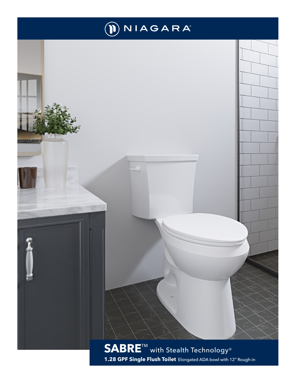

**SABRE<sup>™</sup> with Stealth Technology® 1.28 GPF Single Flush Toilet** Elongated ADA bowl with 12" Rough-in